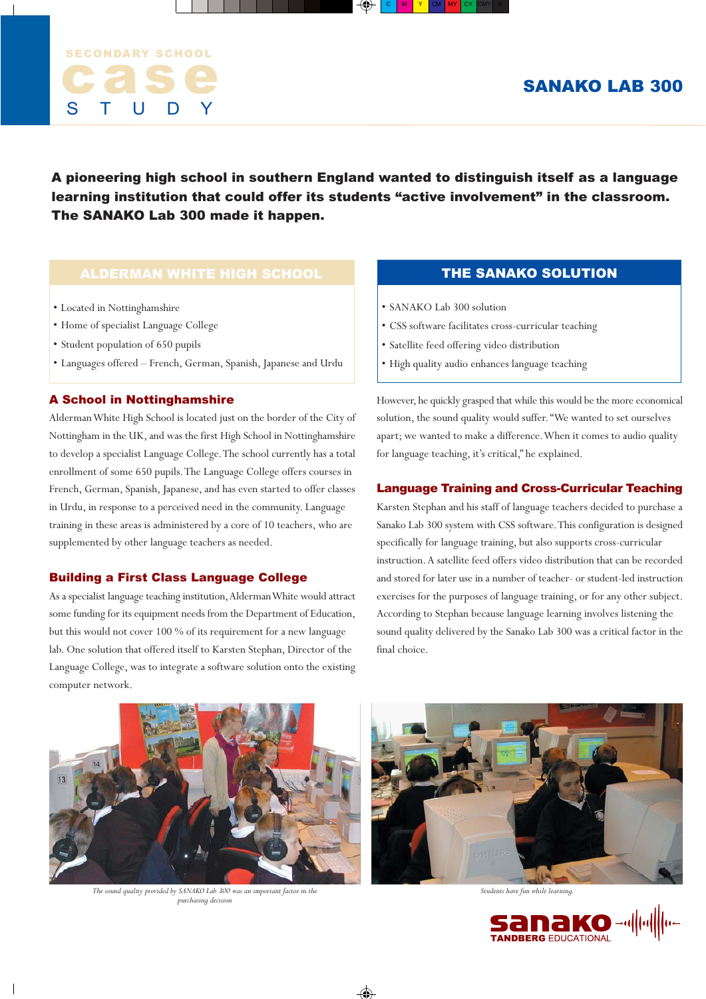

A pioneering high school in southern England wanted to distinguish itself as a language learning institution that could offer its students "active involvement" in the classroom. The SANAKO Lab 300 made it happen.

# ALDERMAN WHITE HIGH SCHOOL

- Located in Nottinghamshire
- Home of specialist Language College
- Student population of 650 pupils
- Languages offered French, German, Spanish, Japanese and Urdu

## A School in Nottinghamshire

Alderman White High School is located just on the border of the City of Nottingham in the UK, and was the first High School in Nottinghamshire to develop a specialist Language College. The school currently has a total enrollment of some 650 pupils. The Language College offers courses in French, German, Spanish, Japanese, and has even started to offer classes in Urdu, in response to a perceived need in the community. Language training in these areas is administered by a core of 10 teachers, who are supplemented by other language teachers as needed.

### Building a First Class Language College

As a specialist language teaching institution, Alderman White would attract some funding for its equipment needs from the Department of Education, but this would not cover 100 % of its requirement for a new language lab. One solution that offered itself to Karsten Stephan, Director of the Language College, was to integrate a software solution onto the existing computer network.

# THE SANAKO SOLUTION

- SANAKO Lab 300 solution
- CSS software facilitates cross-curricular teaching
- Satellite feed offering video distribution
- High quality audio enhances language teaching

However, he quickly grasped that while this would be the more economical solution, the sound quality would suffer. "We wanted to set ourselves apart; we wanted to make a difference. When it comes to audio quality for language teaching, it's critical," he explained.

### Language Training and Cross-Curricular Teaching

Karsten Stephan and his staff of language teachers decided to purchase a Sanako Lab 300 system with CSS software. This configuration is designed specifically for language training, but also supports cross-curricular instruction. A satellite feed offers video distribution that can be recorded and stored for later use in a number of teacher- or student-led instruction exercises for the purposes of language training, or for any other subject. According to Stephan because language learning involves listening the sound quality delivered by the Sanako Lab 300 was a critical factor in the final choice.



*The sound quality provided by SANAKO Lab 300 was an important factor in the purchasing decision*



*Students have fun while learning.*